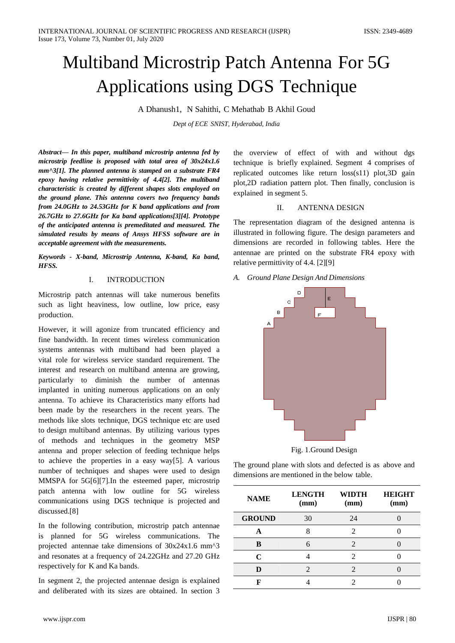# Multiband Microstrip Patch Antenna For 5G Applications using DGS Technique

A Dhanush1, N Sahithi, C Mehathab B Akhil Goud

*Dept of ECE SNIST, Hyderabad, India*

*Abstract— In this paper, multiband microstrip antenna fed by microstrip feedline is proposed with total area of 30x24x1.6 mm^3[1]. The planned antenna is stamped on a substrate FR4 epoxy having relative permittivity of 4.4[2]. The multiband characteristic is created by different shapes slots employed on the ground plane. This antenna covers two frequency bands from 24.0GHz to 24.53GHz for K band applications and from 26.7GHz to 27.6GHz for Ka band applications[3][4]. Prototype of the anticipated antenna is premeditated and measured. The simulated results by means of Ansys HFSS software are in acceptable agreement with the measurements.*

*Keywords - X-band, Microstrip Antenna, K-band, Ka band, HFSS.*

## I. INTRODUCTION

Microstrip patch antennas will take numerous benefits such as light heaviness, low outline, low price, easy production.

However, it will agonize from truncated efficiency and fine bandwidth. In recent times wireless communication systems antennas with multiband had been played a vital role for wireless service standard requirement. The interest and research on multiband antenna are growing, particularly to diminish the number of antennas implanted in uniting numerous applications on an only antenna. To achieve its Characteristics many efforts had been made by the researchers in the recent years. The methods like slots technique, DGS technique etc are used to design multiband antennas. By utilizing various types of methods and techniques in the geometry MSP antenna and proper selection of feeding technique helps to achieve the properties in a easy way[5]. A various number of techniques and shapes were used to design MMSPA for 5G[6][7].In the esteemed paper, microstrip patch antenna with low outline for 5G wireless communications using DGS technique is projected and discussed.[8]

In the following contribution, microstrip patch antennae is planned for 5G wireless communications. The projected antennae take dimensions of 30x24x1.6 mm^3 and resonates at a frequency of 24.22GHz and 27.20 GHz respectively for K and Ka bands.

In segment 2, the projected antennae design is explained and deliberated with its sizes are obtained. In section 3

the overview of effect of with and without dgs technique is briefly explained. Segment 4 comprises of replicated outcomes like return loss(s11) plot,3D gain plot,2D radiation pattern plot. Then finally, conclusion is explained in segment 5.

## II. ANTENNA DESIGN

The representation diagram of the designed antenna is illustrated in following figure. The design parameters and dimensions are recorded in following tables. Here the antennae are printed on the substrate FR4 epoxy with relative permittivity of 4.4. [2][9]

*A. Ground Plane Design And Dimensions*



Fig. 1.Ground Design

The ground plane with slots and defected is as above and dimensions are mentioned in the below table.

| <b>NAME</b>   | <b>LENGTH</b><br>(mm) | WIDTH<br>(mm) | <b>HEIGHT</b><br>(mm) |
|---------------|-----------------------|---------------|-----------------------|
| <b>GROUND</b> | 30                    | 24            |                       |
|               |                       | 2             |                       |
| B             |                       | 2             |                       |
| C             |                       | 2             |                       |
|               |                       |               |                       |
|               |                       |               |                       |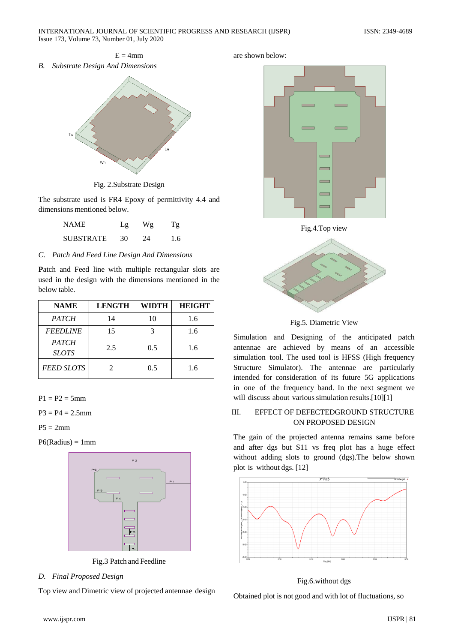

Fig. 2.Substrate Design

The substrate used is FR4 Epoxy of permittivity 4.4 and dimensions mentioned below.

| <b>NAME</b>      | Lg | Wg | Τg  |
|------------------|----|----|-----|
| <b>SUBSTRATE</b> | 30 | 24 | 1.6 |

## *C. Patch And Feed Line Design And Dimensions*

**P**atch and Feed line with multiple rectangular slots are used in the design with the dimensions mentioned in the below table.

| <b>NAME</b>                  | <b>LENGTH</b> | <b>WIDTH</b> | <b>HEIGHT</b> |
|------------------------------|---------------|--------------|---------------|
| <b>PATCH</b>                 | 14            | 10           | 1.6           |
| <b>FEEDLINE</b>              | 15            |              | 1.6           |
| <b>PATCH</b><br><b>SLOTS</b> | 2.5           | 0.5          | 1.6           |
| <b>FEED SLOTS</b>            |               | 0.5          | 1.6           |

 $P1 = P2 = 5$ mm

 $P3 = P4 = 2.5$ mm

 $P5 = 2mm$ 

 $P6(Radius) = 1mm$ 



Fig.3 Patch and Feedline

*D. Final Proposed Design*

Top view and Dimetric view of projected antennae design

## are shown below:





Fig.5. Diametric View

Simulation and Designing of the anticipated patch antennae are achieved by means of an accessible simulation tool. The used tool is HFSS (High frequency Structure Simulator). The antennae are particularly intended for consideration of its future 5G applications in one of the frequency band. In the next segment we will discuss about various simulation results.[10][1]

## III. EFFECT OF DEFECTEDGROUND STRUCTURE ON PROPOSED DESIGN

The gain of the projected antenna remains same before and after dgs but S11 vs freq plot has a huge effect without adding slots to ground (dgs).The below shown plot is without dgs. [12]



## Fig.6.without dgs

Obtained plot is not good and with lot of fluctuations, so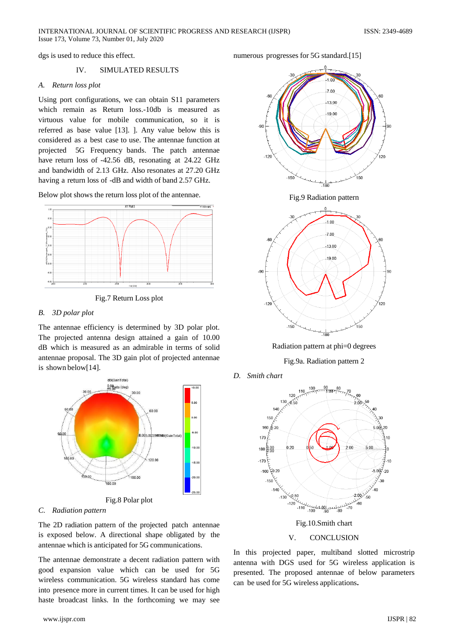dgs is used to reduce this effect.

## IV. SIMULATED RESULTS

#### *A. Return loss plot*

Using port configurations, we can obtain S11 parameters which remain as Return loss.-10db is measured as virtuous value for mobile communication, so it is referred as base value [13]. ]. Any value below this is considered as a best case to use. The antennae function at projected 5G Frequency bands. The patch antennae have return loss of -42.56 dB, resonating at 24.22 GHz and bandwidth of 2.13 GHz. Also resonates at 27.20 GHz having a return loss of -dB and width of band 2.57 GHz.

Below plot shows the return loss plot of the antennae.



Fig.7 Return Loss plot

## *B. 3D polar plot*

The antennae efficiency is determined by 3D polar plot. The projected antenna design attained a gain of 10.00 dB which is measured as an admirable in terms of solid antennae proposal. The 3D gain plot of projected antennae is shown below[14].



#### *C. Radiation pattern*

The 2D radiation pattern of the projected patch antennae is exposed below. A directional shape obligated by the antennae which is anticipated for 5G communications.

The antennae demonstrate a decent radiation pattern with good expansion value which can be used for 5G wireless communication. 5G wireless standard has come into presence more in current times. It can be used for high haste broadcast links. In the forthcoming we may see

numerous progresses for 5G standard.[15]



Fig.9 Radiation pattern



Radiation pattern at phi=0 degrees

Fig.9a. Radiation pattern 2

*D. Smith chart*



In this projected paper, multiband slotted microstrip antenna with DGS used for 5G wireless application is presented. The proposed antennae of below parameters can be used for 5G wireless applications**.**